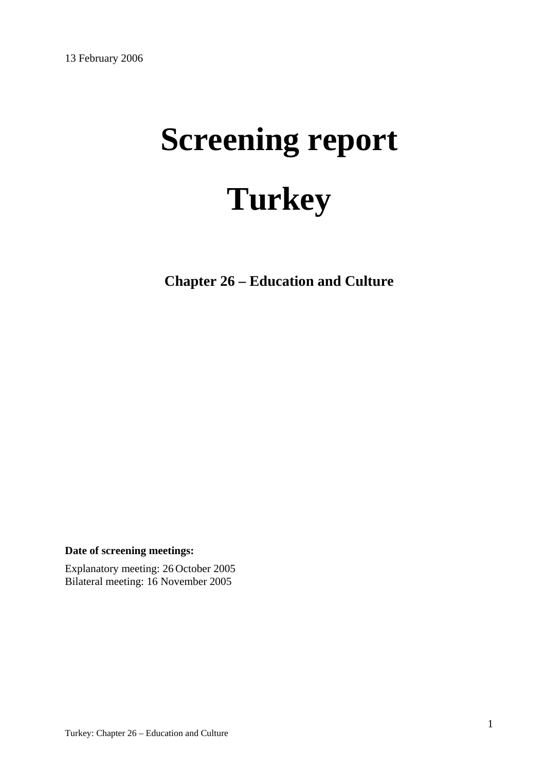# **Screening report Turkey**

**Chapter 26 – Education and Culture** 

**Date of screening meetings:**

Explanatory meeting: 26 October 2005 Bilateral meeting: 16 November 2005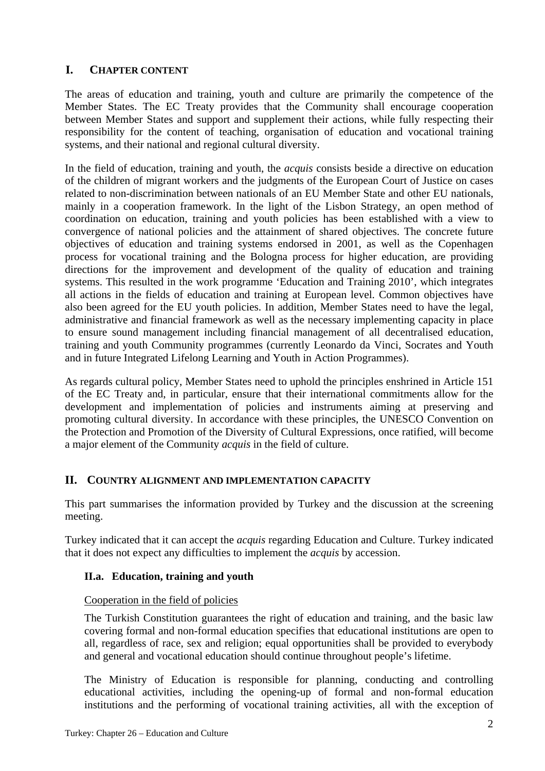# **I. CHAPTER CONTENT**

The areas of education and training, youth and culture are primarily the competence of the Member States. The EC Treaty provides that the Community shall encourage cooperation between Member States and support and supplement their actions, while fully respecting their responsibility for the content of teaching, organisation of education and vocational training systems, and their national and regional cultural diversity.

In the field of education, training and youth, the *acquis* consists beside a directive on education of the children of migrant workers and the judgments of the European Court of Justice on cases related to non-discrimination between nationals of an EU Member State and other EU nationals, mainly in a cooperation framework. In the light of the Lisbon Strategy, an open method of coordination on education, training and youth policies has been established with a view to convergence of national policies and the attainment of shared objectives. The concrete future objectives of education and training systems endorsed in 2001, as well as the Copenhagen process for vocational training and the Bologna process for higher education, are providing directions for the improvement and development of the quality of education and training systems. This resulted in the work programme 'Education and Training 2010', which integrates all actions in the fields of education and training at European level. Common objectives have also been agreed for the EU youth policies. In addition, Member States need to have the legal, administrative and financial framework as well as the necessary implementing capacity in place to ensure sound management including financial management of all decentralised education, training and youth Community programmes (currently Leonardo da Vinci, Socrates and Youth and in future Integrated Lifelong Learning and Youth in Action Programmes).

As regards cultural policy, Member States need to uphold the principles enshrined in Article 151 of the EC Treaty and, in particular, ensure that their international commitments allow for the development and implementation of policies and instruments aiming at preserving and promoting cultural diversity. In accordance with these principles, the UNESCO Convention on the Protection and Promotion of the Diversity of Cultural Expressions, once ratified, will become a major element of the Community *acquis* in the field of culture.

## **II. COUNTRY ALIGNMENT AND IMPLEMENTATION CAPACITY**

This part summarises the information provided by Turkey and the discussion at the screening meeting.

Turkey indicated that it can accept the *acquis* regarding Education and Culture. Turkey indicated that it does not expect any difficulties to implement the *acquis* by accession.

## **II.a. Education, training and youth**

## Cooperation in the field of policies

The Turkish Constitution guarantees the right of education and training, and the basic law covering formal and non-formal education specifies that educational institutions are open to all, regardless of race, sex and religion; equal opportunities shall be provided to everybody and general and vocational education should continue throughout people's lifetime.

The Ministry of Education is responsible for planning, conducting and controlling educational activities, including the opening-up of formal and non-formal education institutions and the performing of vocational training activities, all with the exception of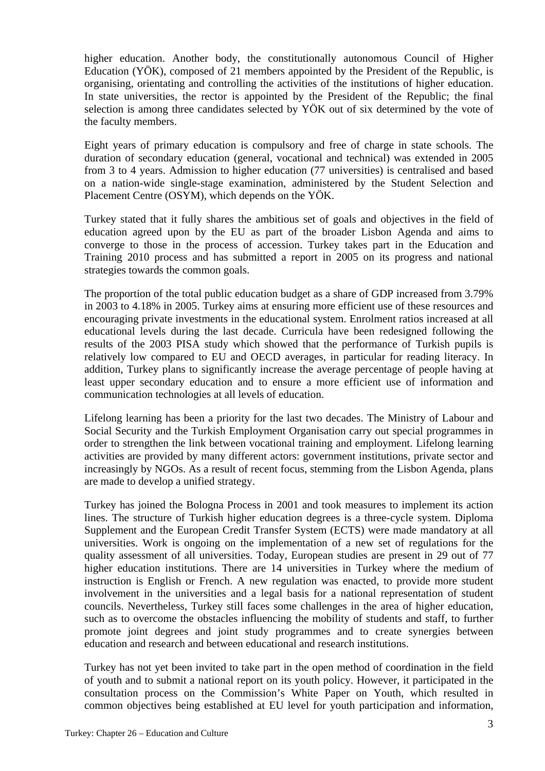higher education. Another body, the constitutionally autonomous Council of Higher Education (YÖK), composed of 21 members appointed by the President of the Republic, is organising, orientating and controlling the activities of the institutions of higher education. In state universities, the rector is appointed by the President of the Republic; the final selection is among three candidates selected by YÖK out of six determined by the vote of the faculty members.

Eight years of primary education is compulsory and free of charge in state schools. The duration of secondary education (general, vocational and technical) was extended in 2005 from 3 to 4 years. Admission to higher education (77 universities) is centralised and based on a nation-wide single-stage examination, administered by the Student Selection and Placement Centre (OSYM), which depends on the YÖK.

Turkey stated that it fully shares the ambitious set of goals and objectives in the field of education agreed upon by the EU as part of the broader Lisbon Agenda and aims to converge to those in the process of accession. Turkey takes part in the Education and Training 2010 process and has submitted a report in 2005 on its progress and national strategies towards the common goals.

The proportion of the total public education budget as a share of GDP increased from 3.79% in 2003 to 4.18% in 2005. Turkey aims at ensuring more efficient use of these resources and encouraging private investments in the educational system. Enrolment ratios increased at all educational levels during the last decade. Curricula have been redesigned following the results of the 2003 PISA study which showed that the performance of Turkish pupils is relatively low compared to EU and OECD averages, in particular for reading literacy. In addition, Turkey plans to significantly increase the average percentage of people having at least upper secondary education and to ensure a more efficient use of information and communication technologies at all levels of education.

Lifelong learning has been a priority for the last two decades. The Ministry of Labour and Social Security and the Turkish Employment Organisation carry out special programmes in order to strengthen the link between vocational training and employment. Lifelong learning activities are provided by many different actors: government institutions, private sector and increasingly by NGOs. As a result of recent focus, stemming from the Lisbon Agenda, plans are made to develop a unified strategy.

Turkey has joined the Bologna Process in 2001 and took measures to implement its action lines. The structure of Turkish higher education degrees is a three-cycle system. Diploma Supplement and the European Credit Transfer System (ECTS) were made mandatory at all universities. Work is ongoing on the implementation of a new set of regulations for the quality assessment of all universities. Today, European studies are present in 29 out of 77 higher education institutions. There are 14 universities in Turkey where the medium of instruction is English or French. A new regulation was enacted, to provide more student involvement in the universities and a legal basis for a national representation of student councils. Nevertheless, Turkey still faces some challenges in the area of higher education, such as to overcome the obstacles influencing the mobility of students and staff, to further promote joint degrees and joint study programmes and to create synergies between education and research and between educational and research institutions.

Turkey has not yet been invited to take part in the open method of coordination in the field of youth and to submit a national report on its youth policy. However, it participated in the consultation process on the Commission's White Paper on Youth, which resulted in common objectives being established at EU level for youth participation and information,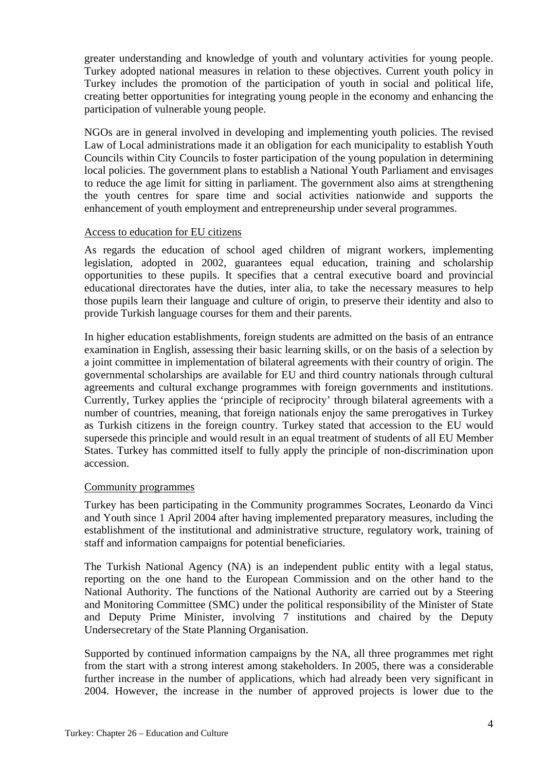greater understanding and knowledge of youth and voluntary activities for young people. Turkey adopted national measures in relation to these objectives. Current youth policy in Turkey includes the promotion of the participation of youth in social and political life, creating better opportunities for integrating young people in the economy and enhancing the participation of vulnerable young people.

NGOs are in general involved in developing and implementing youth policies. The revised Law of Local administrations made it an obligation for each municipality to establish Youth Councils within City Councils to foster participation of the young population in determining local policies. The government plans to establish a National Youth Parliament and envisages to reduce the age limit for sitting in parliament. The government also aims at strengthening the youth centres for spare time and social activities nationwide and supports the enhancement of youth employment and entrepreneurship under several programmes.

#### Access to education for EU citizens

As regards the education of school aged children of migrant workers, implementing legislation, adopted in 2002, guarantees equal education, training and scholarship opportunities to these pupils. It specifies that a central executive board and provincial educational directorates have the duties, inter alia, to take the necessary measures to help those pupils learn their language and culture of origin, to preserve their identity and also to provide Turkish language courses for them and their parents.

In higher education establishments, foreign students are admitted on the basis of an entrance examination in English, assessing their basic learning skills, or on the basis of a selection by a joint committee in implementation of bilateral agreements with their country of origin. The governmental scholarships are available for EU and third country nationals through cultural agreements and cultural exchange programmes with foreign governments and institutions. Currently, Turkey applies the 'principle of reciprocity' through bilateral agreements with a number of countries, meaning, that foreign nationals enjoy the same prerogatives in Turkey as Turkish citizens in the foreign country. Turkey stated that accession to the EU would supersede this principle and would result in an equal treatment of students of all EU Member States. Turkey has committed itself to fully apply the principle of non-discrimination upon accession.

#### Community programmes

Turkey has been participating in the Community programmes Socrates, Leonardo da Vinci and Youth since 1 April 2004 after having implemented preparatory measures, including the establishment of the institutional and administrative structure, regulatory work, training of staff and information campaigns for potential beneficiaries.

The Turkish National Agency (NA) is an independent public entity with a legal status, reporting on the one hand to the European Commission and on the other hand to the National Authority. The functions of the National Authority are carried out by a Steering and Monitoring Committee (SMC) under the political responsibility of the Minister of State and Deputy Prime Minister, involving 7 institutions and chaired by the Deputy Undersecretary of the State Planning Organisation.

Supported by continued information campaigns by the NA, all three programmes met right from the start with a strong interest among stakeholders. In 2005, there was a considerable further increase in the number of applications, which had already been very significant in 2004. However, the increase in the number of approved projects is lower due to the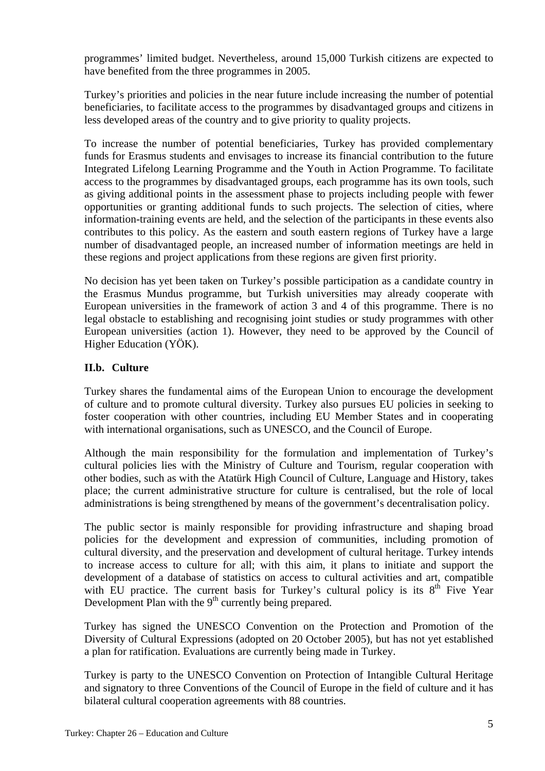programmes' limited budget. Nevertheless, around 15,000 Turkish citizens are expected to have benefited from the three programmes in 2005.

Turkey's priorities and policies in the near future include increasing the number of potential beneficiaries, to facilitate access to the programmes by disadvantaged groups and citizens in less developed areas of the country and to give priority to quality projects.

To increase the number of potential beneficiaries, Turkey has provided complementary funds for Erasmus students and envisages to increase its financial contribution to the future Integrated Lifelong Learning Programme and the Youth in Action Programme. To facilitate access to the programmes by disadvantaged groups, each programme has its own tools, such as giving additional points in the assessment phase to projects including people with fewer opportunities or granting additional funds to such projects. The selection of cities, where information-training events are held, and the selection of the participants in these events also contributes to this policy. As the eastern and south eastern regions of Turkey have a large number of disadvantaged people, an increased number of information meetings are held in these regions and project applications from these regions are given first priority.

No decision has yet been taken on Turkey's possible participation as a candidate country in the Erasmus Mundus programme, but Turkish universities may already cooperate with European universities in the framework of action 3 and 4 of this programme. There is no legal obstacle to establishing and recognising joint studies or study programmes with other European universities (action 1). However, they need to be approved by the Council of Higher Education (YÖK).

## **II.b. Culture**

Turkey shares the fundamental aims of the European Union to encourage the development of culture and to promote cultural diversity. Turkey also pursues EU policies in seeking to foster cooperation with other countries, including EU Member States and in cooperating with international organisations, such as UNESCO, and the Council of Europe.

Although the main responsibility for the formulation and implementation of Turkey's cultural policies lies with the Ministry of Culture and Tourism, regular cooperation with other bodies, such as with the Atatürk High Council of Culture, Language and History, takes place; the current administrative structure for culture is centralised, but the role of local administrations is being strengthened by means of the government's decentralisation policy.

The public sector is mainly responsible for providing infrastructure and shaping broad policies for the development and expression of communities, including promotion of cultural diversity, and the preservation and development of cultural heritage. Turkey intends to increase access to culture for all; with this aim, it plans to initiate and support the development of a database of statistics on access to cultural activities and art, compatible with EU practice. The current basis for Turkey's cultural policy is its  $8<sup>th</sup>$  Five Year Development Plan with the  $9<sup>th</sup>$  currently being prepared.

Turkey has signed the UNESCO Convention on the Protection and Promotion of the Diversity of Cultural Expressions (adopted on 20 October 2005), but has not yet established a plan for ratification. Evaluations are currently being made in Turkey.

Turkey is party to the UNESCO Convention on Protection of Intangible Cultural Heritage and signatory to three Conventions of the Council of Europe in the field of culture and it has bilateral cultural cooperation agreements with 88 countries.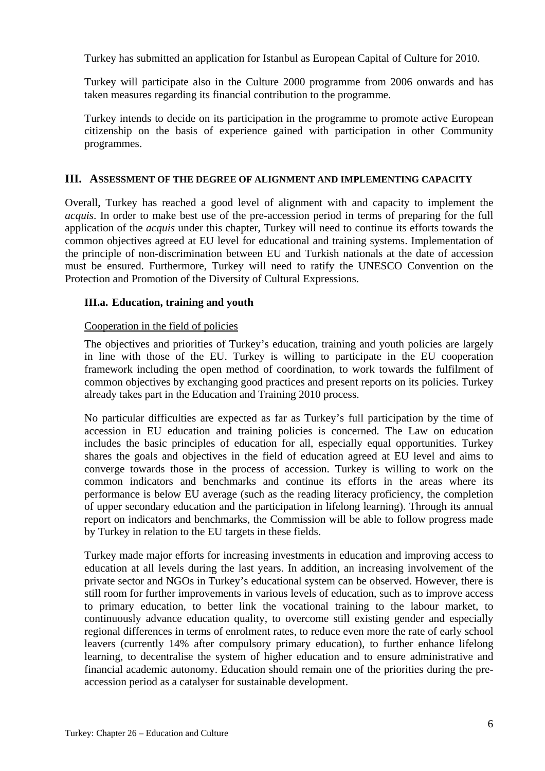Turkey has submitted an application for Istanbul as European Capital of Culture for 2010.

Turkey will participate also in the Culture 2000 programme from 2006 onwards and has taken measures regarding its financial contribution to the programme.

Turkey intends to decide on its participation in the programme to promote active European citizenship on the basis of experience gained with participation in other Community programmes.

#### **III. ASSESSMENT OF THE DEGREE OF ALIGNMENT AND IMPLEMENTING CAPACITY**

Overall, Turkey has reached a good level of alignment with and capacity to implement the *acquis*. In order to make best use of the pre-accession period in terms of preparing for the full application of the *acquis* under this chapter, Turkey will need to continue its efforts towards the common objectives agreed at EU level for educational and training systems. Implementation of the principle of non-discrimination between EU and Turkish nationals at the date of accession must be ensured. Furthermore, Turkey will need to ratify the UNESCO Convention on the Protection and Promotion of the Diversity of Cultural Expressions.

## **III.a. Education, training and youth**

#### Cooperation in the field of policies

The objectives and priorities of Turkey's education, training and youth policies are largely in line with those of the EU. Turkey is willing to participate in the EU cooperation framework including the open method of coordination, to work towards the fulfilment of common objectives by exchanging good practices and present reports on its policies. Turkey already takes part in the Education and Training 2010 process.

No particular difficulties are expected as far as Turkey's full participation by the time of accession in EU education and training policies is concerned. The Law on education includes the basic principles of education for all, especially equal opportunities. Turkey shares the goals and objectives in the field of education agreed at EU level and aims to converge towards those in the process of accession. Turkey is willing to work on the common indicators and benchmarks and continue its efforts in the areas where its performance is below EU average (such as the reading literacy proficiency, the completion of upper secondary education and the participation in lifelong learning). Through its annual report on indicators and benchmarks, the Commission will be able to follow progress made by Turkey in relation to the EU targets in these fields.

Turkey made major efforts for increasing investments in education and improving access to education at all levels during the last years. In addition, an increasing involvement of the private sector and NGOs in Turkey's educational system can be observed. However, there is still room for further improvements in various levels of education, such as to improve access to primary education, to better link the vocational training to the labour market, to continuously advance education quality, to overcome still existing gender and especially regional differences in terms of enrolment rates, to reduce even more the rate of early school leavers (currently 14% after compulsory primary education), to further enhance lifelong learning, to decentralise the system of higher education and to ensure administrative and financial academic autonomy. Education should remain one of the priorities during the preaccession period as a catalyser for sustainable development.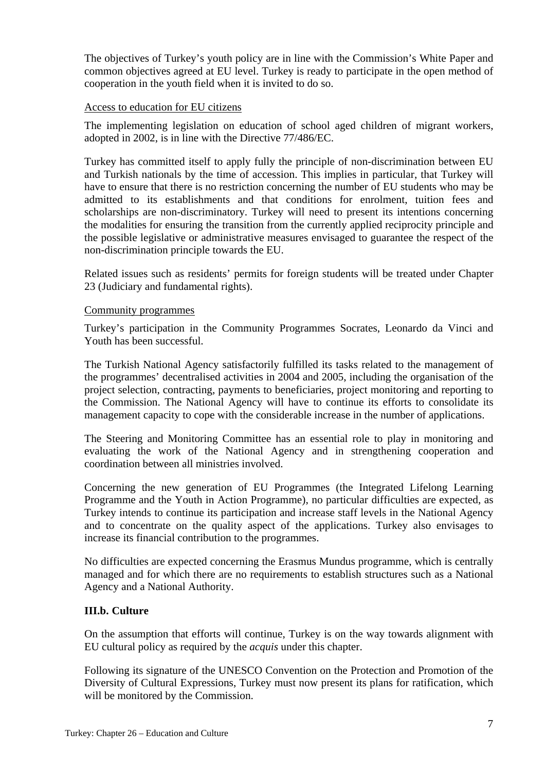The objectives of Turkey's youth policy are in line with the Commission's White Paper and common objectives agreed at EU level. Turkey is ready to participate in the open method of cooperation in the youth field when it is invited to do so.

#### Access to education for EU citizens

The implementing legislation on education of school aged children of migrant workers, adopted in 2002, is in line with the Directive 77/486/EC.

Turkey has committed itself to apply fully the principle of non-discrimination between EU and Turkish nationals by the time of accession. This implies in particular, that Turkey will have to ensure that there is no restriction concerning the number of EU students who may be admitted to its establishments and that conditions for enrolment, tuition fees and scholarships are non-discriminatory. Turkey will need to present its intentions concerning the modalities for ensuring the transition from the currently applied reciprocity principle and the possible legislative or administrative measures envisaged to guarantee the respect of the non-discrimination principle towards the EU.

Related issues such as residents' permits for foreign students will be treated under Chapter 23 (Judiciary and fundamental rights).

#### Community programmes

Turkey's participation in the Community Programmes Socrates, Leonardo da Vinci and Youth has been successful.

The Turkish National Agency satisfactorily fulfilled its tasks related to the management of the programmes' decentralised activities in 2004 and 2005, including the organisation of the project selection, contracting, payments to beneficiaries, project monitoring and reporting to the Commission. The National Agency will have to continue its efforts to consolidate its management capacity to cope with the considerable increase in the number of applications.

The Steering and Monitoring Committee has an essential role to play in monitoring and evaluating the work of the National Agency and in strengthening cooperation and coordination between all ministries involved.

Concerning the new generation of EU Programmes (the Integrated Lifelong Learning Programme and the Youth in Action Programme), no particular difficulties are expected, as Turkey intends to continue its participation and increase staff levels in the National Agency and to concentrate on the quality aspect of the applications. Turkey also envisages to increase its financial contribution to the programmes.

No difficulties are expected concerning the Erasmus Mundus programme, which is centrally managed and for which there are no requirements to establish structures such as a National Agency and a National Authority.

## **III.b. Culture**

On the assumption that efforts will continue, Turkey is on the way towards alignment with EU cultural policy as required by the *acquis* under this chapter.

Following its signature of the UNESCO Convention on the Protection and Promotion of the Diversity of Cultural Expressions, Turkey must now present its plans for ratification, which will be monitored by the Commission.